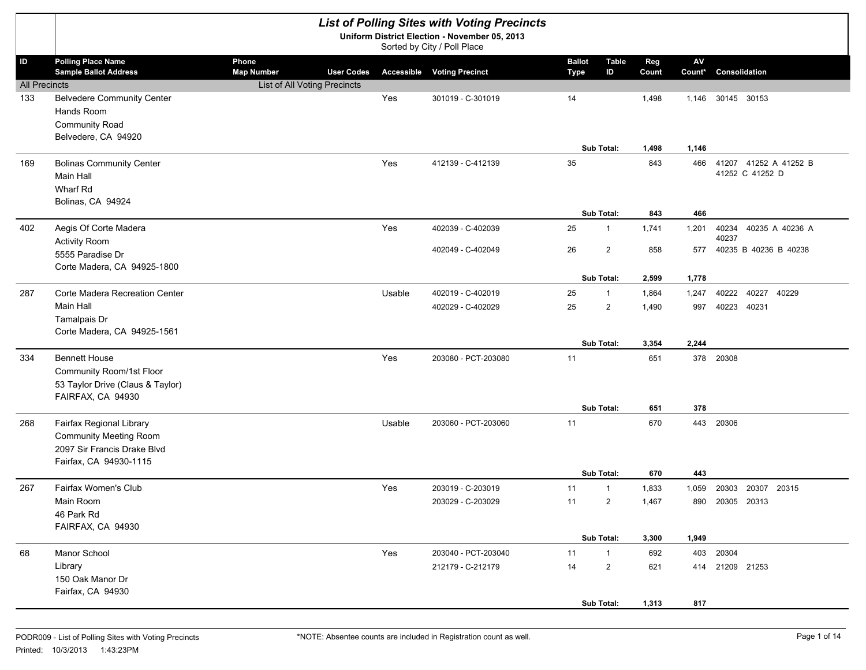|                      | <b>List of Polling Sites with Voting Precincts</b>                                                                 |                              |                   |        |                                                                              |                              |                |              |                         |                 |                                          |  |
|----------------------|--------------------------------------------------------------------------------------------------------------------|------------------------------|-------------------|--------|------------------------------------------------------------------------------|------------------------------|----------------|--------------|-------------------------|-----------------|------------------------------------------|--|
|                      |                                                                                                                    |                              |                   |        | Uniform District Election - November 05, 2013<br>Sorted by City / Poll Place |                              |                |              |                         |                 |                                          |  |
| ID                   | <b>Polling Place Name</b><br><b>Sample Ballot Address</b>                                                          | Phone<br><b>Map Number</b>   | <b>User Codes</b> |        | <b>Accessible Voting Precinct</b>                                            | <b>Ballot</b><br><b>Type</b> | Table<br>ID    | Reg<br>Count | $\mathsf{AV}$<br>Count* | Consolidation   |                                          |  |
| <b>All Precincts</b> |                                                                                                                    | List of All Voting Precincts |                   |        |                                                                              |                              |                |              |                         |                 |                                          |  |
| 133                  | <b>Belvedere Community Center</b><br>Hands Room<br><b>Community Road</b><br>Belvedere, CA 94920                    |                              |                   | Yes    | 301019 - C-301019                                                            | 14                           |                | 1,498        | 1,146                   | 30145 30153     |                                          |  |
|                      |                                                                                                                    |                              |                   |        |                                                                              |                              | Sub Total:     | 1,498        | 1,146                   |                 |                                          |  |
| 169                  | <b>Bolinas Community Center</b><br>Main Hall<br>Wharf Rd<br>Bolinas, CA 94924                                      |                              |                   | Yes    | 412139 - C-412139                                                            | 35                           |                | 843          | 466                     |                 | 41207 41252 A 41252 B<br>41252 C 41252 D |  |
|                      |                                                                                                                    |                              |                   |        |                                                                              |                              | Sub Total:     | 843          | 466                     |                 |                                          |  |
| 402                  | Aegis Of Corte Madera<br><b>Activity Room</b>                                                                      |                              |                   | Yes    | 402039 - C-402039                                                            | 25                           | $\mathbf{1}$   | 1,741        | 1,201                   | 40234<br>40237  | 40235 A 40236 A                          |  |
|                      | 5555 Paradise Dr<br>Corte Madera, CA 94925-1800                                                                    |                              |                   |        | 402049 - C-402049                                                            | 26                           | $\overline{2}$ | 858          | 577                     |                 | 40235 B 40236 B 40238                    |  |
|                      |                                                                                                                    |                              |                   |        |                                                                              |                              | Sub Total:     | 2,599        | 1,778                   |                 |                                          |  |
| 287                  | Corte Madera Recreation Center                                                                                     |                              |                   | Usable | 402019 - C-402019                                                            | 25                           | $\mathbf{1}$   | 1,864        | 1,247                   | 40222           | 40227<br>40229                           |  |
|                      | Main Hall<br>Tamalpais Dr<br>Corte Madera, CA 94925-1561                                                           |                              |                   |        | 402029 - C-402029                                                            | 25                           | $\overline{2}$ | 1,490        | 997                     | 40223 40231     |                                          |  |
|                      |                                                                                                                    |                              |                   |        |                                                                              |                              | Sub Total:     | 3,354        | 2,244                   |                 |                                          |  |
| 334                  | <b>Bennett House</b><br>Community Room/1st Floor<br>53 Taylor Drive (Claus & Taylor)<br>FAIRFAX, CA 94930          |                              |                   | Yes    | 203080 - PCT-203080                                                          | 11                           |                | 651          | 378                     | 20308           |                                          |  |
|                      |                                                                                                                    |                              |                   |        |                                                                              |                              | Sub Total:     | 651          | 378                     |                 |                                          |  |
| 268                  | Fairfax Regional Library<br><b>Community Meeting Room</b><br>2097 Sir Francis Drake Blvd<br>Fairfax, CA 94930-1115 |                              |                   | Usable | 203060 - PCT-203060                                                          | 11                           |                | 670          | 443                     | 20306           |                                          |  |
|                      |                                                                                                                    |                              |                   |        |                                                                              |                              | Sub Total:     | 670          | 443                     |                 |                                          |  |
| 267                  | Fairfax Women's Club                                                                                               |                              |                   | Yes    | 203019 - C-203019                                                            | 11                           | $\mathbf{1}$   | 1,833        | 1,059                   |                 | 20303 20307 20315                        |  |
|                      | Main Room<br>46 Park Rd<br>FAIRFAX, CA 94930                                                                       |                              |                   |        | 203029 - C-203029                                                            | 11                           | $\overline{2}$ | 1,467        | 890                     | 20305 20313     |                                          |  |
|                      |                                                                                                                    |                              |                   |        |                                                                              |                              | Sub Total:     | 3,300        | 1,949                   |                 |                                          |  |
| 68                   | Manor School                                                                                                       |                              |                   | Yes    | 203040 - PCT-203040                                                          | 11                           | $\mathbf{1}$   | 692          |                         | 403 20304       |                                          |  |
|                      | Library<br>150 Oak Manor Dr<br>Fairfax, CA 94930                                                                   |                              |                   |        | 212179 - C-212179                                                            | 14                           | $\overline{2}$ | 621          |                         | 414 21209 21253 |                                          |  |
|                      |                                                                                                                    |                              |                   |        |                                                                              |                              | Sub Total:     | 1,313        | 817                     |                 |                                          |  |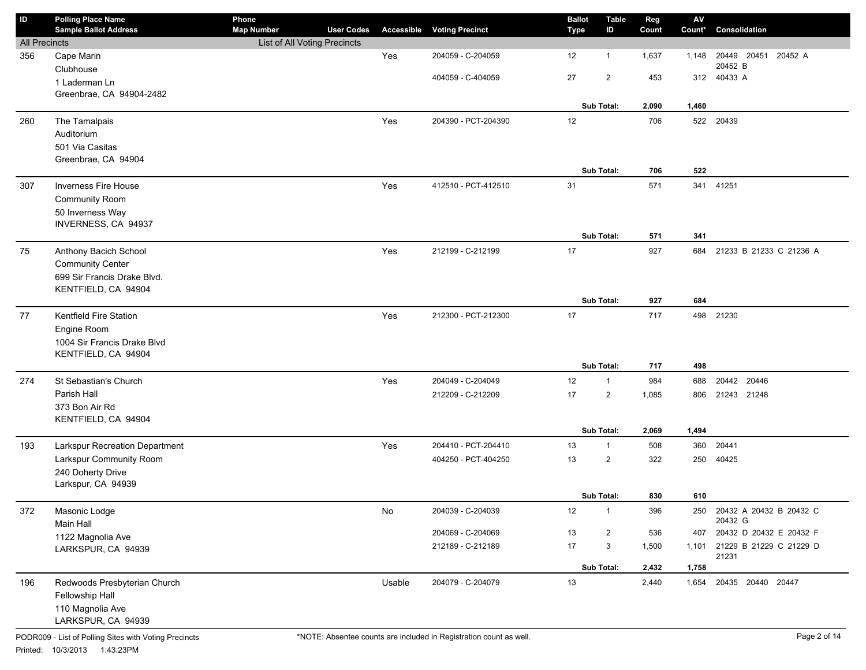| $\mathsf{ID}$        | <b>Polling Place Name</b><br><b>Sample Ballot Address</b> | Phone<br><b>Map Number</b>   | <b>User Codes</b> | Accessible | <b>Voting Precinct</b> | <b>Ballot</b><br><b>Type</b> | <b>Table</b><br>ID | Reg<br>Count | ${\sf AV}$<br>Count* | Consolidation                      |
|----------------------|-----------------------------------------------------------|------------------------------|-------------------|------------|------------------------|------------------------------|--------------------|--------------|----------------------|------------------------------------|
| <b>All Precincts</b> |                                                           | List of All Voting Precincts |                   |            |                        |                              |                    |              |                      |                                    |
| 356                  | Cape Marin                                                |                              |                   | Yes        | 204059 - C-204059      | 12                           | $\mathbf{1}$       | 1,637        | 1,148                | 20449 20451<br>20452 A<br>20452 B  |
|                      | Clubhouse<br>1 Laderman Ln                                |                              |                   |            | 404059 - C-404059      | 27                           | $\overline{2}$     | 453          |                      | 312 40433 A                        |
|                      | Greenbrae, CA 94904-2482                                  |                              |                   |            |                        |                              | Sub Total:         | 2,090        | 1,460                |                                    |
| 260                  | The Tamalpais                                             |                              |                   | Yes        | 204390 - PCT-204390    | 12                           |                    | 706          | 522                  | 20439                              |
|                      | Auditorium<br>501 Via Casitas                             |                              |                   |            |                        |                              |                    |              |                      |                                    |
|                      | Greenbrae, CA 94904                                       |                              |                   |            |                        |                              |                    |              |                      |                                    |
|                      |                                                           |                              |                   |            |                        |                              | <b>Sub Total:</b>  | 706          | 522                  |                                    |
| 307                  | Inverness Fire House<br><b>Community Room</b>             |                              |                   | Yes        | 412510 - PCT-412510    | 31                           |                    | 571          |                      | 341 41251                          |
|                      | 50 Inverness Way                                          |                              |                   |            |                        |                              |                    |              |                      |                                    |
|                      | INVERNESS, CA 94937                                       |                              |                   |            |                        |                              | Sub Total:         | 571          | 341                  |                                    |
| 75                   | Anthony Bacich School                                     |                              |                   | Yes        | 212199 - C-212199      | 17                           |                    | 927          | 684                  | 21233 B 21233 C 21236 A            |
|                      | <b>Community Center</b>                                   |                              |                   |            |                        |                              |                    |              |                      |                                    |
|                      | 699 Sir Francis Drake Blvd.                               |                              |                   |            |                        |                              |                    |              |                      |                                    |
|                      | KENTFIELD, CA 94904                                       |                              |                   |            |                        |                              | Sub Total:         | 927          | 684                  |                                    |
| 77                   | Kentfield Fire Station                                    |                              |                   | Yes        | 212300 - PCT-212300    | 17                           |                    | 717          |                      | 498 21230                          |
|                      | Engine Room                                               |                              |                   |            |                        |                              |                    |              |                      |                                    |
|                      | 1004 Sir Francis Drake Blvd<br>KENTFIELD, CA 94904        |                              |                   |            |                        |                              |                    |              |                      |                                    |
|                      |                                                           |                              |                   |            |                        |                              | Sub Total:         | 717          | 498                  |                                    |
| 274                  | St Sebastian's Church                                     |                              |                   | Yes        | 204049 - C-204049      | 12                           | $\mathbf{1}$       | 984          | 688                  | 20442 20446                        |
|                      | Parish Hall                                               |                              |                   |            | 212209 - C-212209      | 17                           | $\overline{2}$     | 1,085        | 806                  | 21243 21248                        |
|                      | 373 Bon Air Rd<br>KENTFIELD, CA 94904                     |                              |                   |            |                        |                              |                    |              |                      |                                    |
|                      |                                                           |                              |                   |            |                        |                              | Sub Total:         | 2,069        | 1,494                |                                    |
| 193                  | Larkspur Recreation Department                            |                              |                   | Yes        | 204410 - PCT-204410    | 13                           | $\mathbf{1}$       | 508          | 360                  | 20441                              |
|                      | Larkspur Community Room<br>240 Doherty Drive              |                              |                   |            | 404250 - PCT-404250    | 13                           | $\overline{2}$     | 322          | 250                  | 40425                              |
|                      | Larkspur, CA 94939                                        |                              |                   |            |                        |                              |                    |              |                      |                                    |
|                      |                                                           |                              |                   |            |                        |                              | Sub Total:         | 830          | 610                  |                                    |
| 372                  | Masonic Lodge<br>Main Hall                                |                              |                   | No         | 204039 - C-204039      | 12                           | $\mathbf{1}$       | 396          | 250                  | 20432 A 20432 B 20432 C<br>20432 G |
|                      | 1122 Magnolia Ave                                         |                              |                   |            | 204069 - C-204069      | 13                           | 2                  | 536          | 407                  | 20432 D 20432 E 20432 F            |
|                      | LARKSPUR, CA 94939                                        |                              |                   |            | 212189 - C-212189      | 17                           | 3                  | 1,500        | 1,101                | 21229 B 21229 C 21229 D<br>21231   |
|                      |                                                           |                              |                   |            |                        |                              | Sub Total:         | 2,432        | 1,758                |                                    |
| 196                  | Redwoods Presbyterian Church                              |                              |                   | Usable     | 204079 - C-204079      | $13$                         |                    | 2,440        | 1,654                | 20435 20440 20447                  |
|                      | Fellowship Hall<br>110 Magnolia Ave                       |                              |                   |            |                        |                              |                    |              |                      |                                    |
|                      | LARKSPUR, CA 94939                                        |                              |                   |            |                        |                              |                    |              |                      |                                    |

PODR009 - List of Polling Sites with Voting Precincts Printed: 10/3/2013 1:43:23PM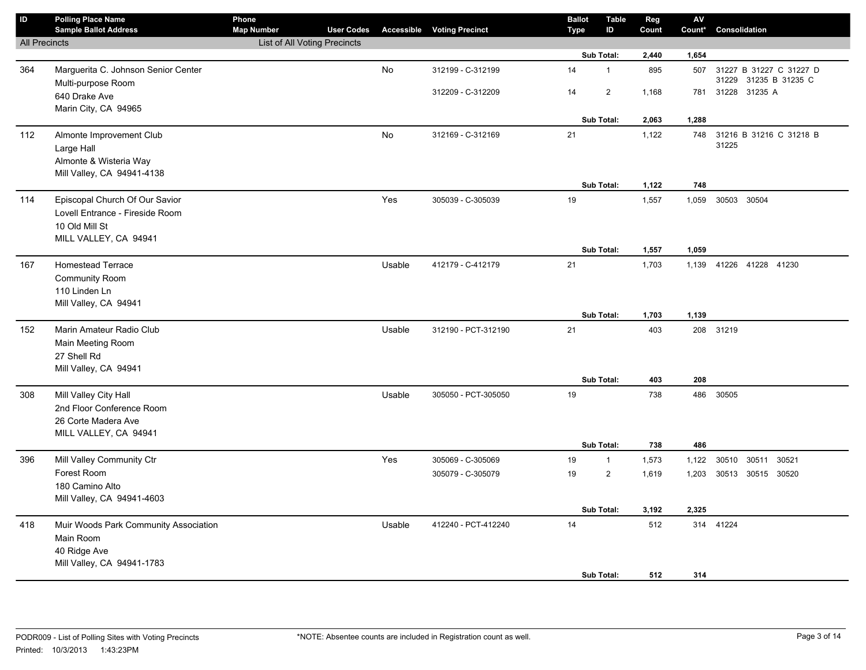| ID                   | <b>Polling Place Name</b><br><b>Sample Ballot Address</b>                                                    | Phone<br><b>Map Number</b>   | <b>User Codes</b> |        | <b>Accessible Voting Precinct</b> | <b>Ballot</b><br><b>Type</b> | <b>Table</b><br>ID | Reg<br>Count | ${\sf AV}$<br>Count* | Consolidation                                    |
|----------------------|--------------------------------------------------------------------------------------------------------------|------------------------------|-------------------|--------|-----------------------------------|------------------------------|--------------------|--------------|----------------------|--------------------------------------------------|
| <b>All Precincts</b> |                                                                                                              | List of All Voting Precincts |                   |        |                                   |                              |                    |              |                      |                                                  |
|                      |                                                                                                              |                              |                   |        |                                   |                              | Sub Total:         | 2,440        | 1,654                |                                                  |
| 364                  | Marguerita C. Johnson Senior Center<br>Multi-purpose Room                                                    |                              |                   | No     | 312199 - C-312199                 | 14                           | $\mathbf{1}$       | 895          | 507                  | 31227 B 31227 C 31227 D<br>31229 31235 B 31235 C |
|                      | 640 Drake Ave                                                                                                |                              |                   |        | 312209 - C-312209                 | 14                           | $\overline{a}$     | 1,168        | 781                  | 31228 31235 A                                    |
|                      | Marin City, CA 94965                                                                                         |                              |                   |        |                                   |                              | Sub Total:         | 2,063        | 1,288                |                                                  |
| 112                  | Almonte Improvement Club<br>Large Hall<br>Almonte & Wisteria Way                                             |                              |                   | No     | 312169 - C-312169                 | 21                           |                    | 1,122        | 748                  | 31216 B 31216 C 31218 B<br>31225                 |
|                      | Mill Valley, CA 94941-4138                                                                                   |                              |                   |        |                                   |                              |                    |              |                      |                                                  |
|                      |                                                                                                              |                              |                   |        |                                   |                              | Sub Total:         | 1,122        | 748                  |                                                  |
| 114                  | Episcopal Church Of Our Savior<br>Lovell Entrance - Fireside Room<br>10 Old Mill St<br>MILL VALLEY, CA 94941 |                              |                   | Yes    | 305039 - C-305039                 | 19                           |                    | 1,557        | 1,059                | 30503 30504                                      |
|                      |                                                                                                              |                              |                   |        |                                   |                              | Sub Total:         | 1,557        | 1,059                |                                                  |
| 167                  | <b>Homestead Terrace</b><br><b>Community Room</b><br>110 Linden Ln<br>Mill Valley, CA 94941                  |                              |                   | Usable | 412179 - C-412179                 | 21                           |                    | 1,703        |                      | 1,139 41226 41228 41230                          |
|                      |                                                                                                              |                              |                   |        |                                   |                              | Sub Total:         | 1,703        | 1,139                |                                                  |
| 152                  | Marin Amateur Radio Club<br>Main Meeting Room<br>27 Shell Rd<br>Mill Valley, CA 94941                        |                              |                   | Usable | 312190 - PCT-312190               | 21                           |                    | 403          |                      | 208 31219                                        |
|                      |                                                                                                              |                              |                   |        |                                   |                              | Sub Total:         | 403          | 208                  |                                                  |
| 308                  | Mill Valley City Hall<br>2nd Floor Conference Room<br>26 Corte Madera Ave<br>MILL VALLEY, CA 94941           |                              |                   | Usable | 305050 - PCT-305050               | 19                           | Sub Total:         | 738<br>738   | 486<br>486           | 30505                                            |
| 396                  | Mill Valley Community Ctr                                                                                    |                              |                   | Yes    | 305069 - C-305069                 | 19                           | $\mathbf{1}$       | 1,573        | 1,122                | 30510 30511 30521                                |
|                      | Forest Room<br>180 Camino Alto                                                                               |                              |                   |        | 305079 - C-305079                 | 19                           | $\overline{2}$     | 1,619        | 1,203                | 30513 30515 30520                                |
|                      | Mill Valley, CA 94941-4603                                                                                   |                              |                   |        |                                   |                              | Sub Total:         | 3,192        | 2,325                |                                                  |
| 418                  | Muir Woods Park Community Association<br>Main Room<br>40 Ridge Ave<br>Mill Valley, CA 94941-1783             |                              |                   | Usable | 412240 - PCT-412240               | 14                           | Sub Total:         | 512<br>512   | 314                  | 314 41224                                        |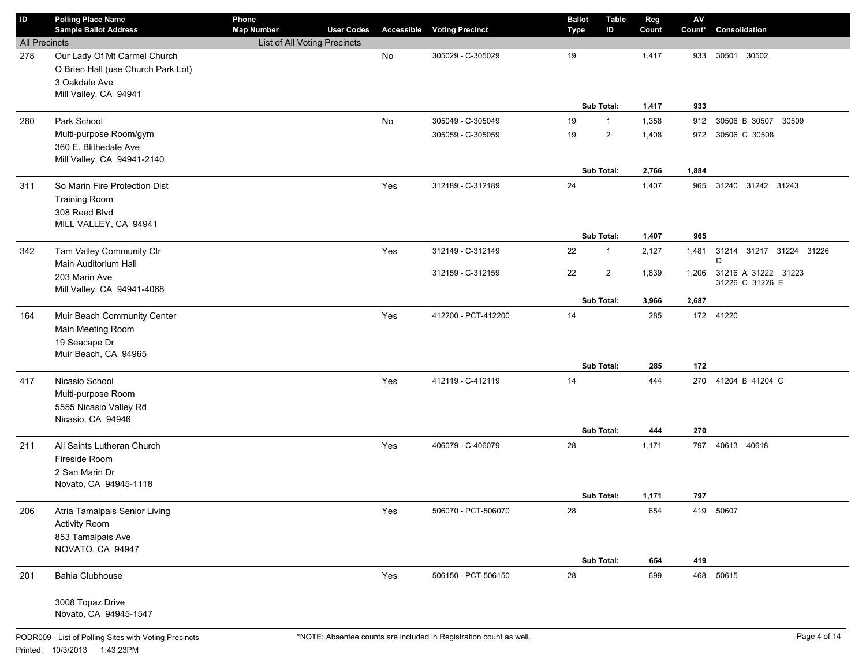| $\mathsf{ID}$        | <b>Polling Place Name</b><br><b>Sample Ballot Address</b> | Phone                                             | <b>User Codes</b> | Accessible |                        | <b>Ballot</b> | <b>Table</b>   | Reg   | $\mathsf{AV}$ | Consolidation           |
|----------------------|-----------------------------------------------------------|---------------------------------------------------|-------------------|------------|------------------------|---------------|----------------|-------|---------------|-------------------------|
| <b>All Precincts</b> |                                                           | <b>Map Number</b><br>List of All Voting Precincts |                   |            | <b>Voting Precinct</b> | <b>Type</b>   | ID             | Count | Count*        |                         |
| 278                  | Our Lady Of Mt Carmel Church                              |                                                   |                   | No         | 305029 - C-305029      | 19            |                | 1,417 | 933           | 30501<br>30502          |
|                      | O Brien Hall (use Church Park Lot)                        |                                                   |                   |            |                        |               |                |       |               |                         |
|                      | 3 Oakdale Ave                                             |                                                   |                   |            |                        |               |                |       |               |                         |
|                      | Mill Valley, CA 94941                                     |                                                   |                   |            |                        |               |                |       |               |                         |
|                      |                                                           |                                                   |                   |            |                        |               | Sub Total:     | 1,417 | 933           |                         |
| 280                  | Park School                                               |                                                   |                   | No         | 305049 - C-305049      | 19            | $\mathbf{1}$   | 1,358 | 912           | 30506 B 30507<br>30509  |
|                      | Multi-purpose Room/gym                                    |                                                   |                   |            | 305059 - C-305059      | 19            | $\overline{2}$ | 1,408 | 972           | 30506 C 30508           |
|                      | 360 E. Blithedale Ave                                     |                                                   |                   |            |                        |               |                |       |               |                         |
|                      | Mill Valley, CA 94941-2140                                |                                                   |                   |            |                        |               |                |       |               |                         |
|                      |                                                           |                                                   |                   |            |                        |               | Sub Total:     | 2,766 | 1,884         |                         |
| 311                  | So Marin Fire Protection Dist                             |                                                   |                   | Yes        | 312189 - C-312189      | 24            |                | 1,407 | 965           | 31240 31242 31243       |
|                      | <b>Training Room</b>                                      |                                                   |                   |            |                        |               |                |       |               |                         |
|                      | 308 Reed Blvd                                             |                                                   |                   |            |                        |               |                |       |               |                         |
|                      | MILL VALLEY, CA 94941                                     |                                                   |                   |            |                        |               | Sub Total:     | 1,407 | 965           |                         |
| 342                  | Tam Valley Community Ctr                                  |                                                   |                   | Yes        | 312149 - C-312149      | 22            | $\mathbf{1}$   | 2,127 | 1,481         | 31214 31217 31224 31226 |
|                      | Main Auditorium Hall                                      |                                                   |                   |            |                        |               |                |       |               | D                       |
|                      | 203 Marin Ave                                             |                                                   |                   |            | 312159 - C-312159      | 22            | $\overline{2}$ | 1,839 | 1,206         | 31216 A 31222 31223     |
|                      | Mill Valley, CA 94941-4068                                |                                                   |                   |            |                        |               |                |       |               | 31226 C 31226 E         |
|                      |                                                           |                                                   |                   |            |                        |               | Sub Total:     | 3,966 | 2,687         |                         |
| 164                  | Muir Beach Community Center                               |                                                   |                   | Yes        | 412200 - PCT-412200    | 14            |                | 285   |               | 172 41220               |
|                      | Main Meeting Room                                         |                                                   |                   |            |                        |               |                |       |               |                         |
|                      | 19 Seacape Dr                                             |                                                   |                   |            |                        |               |                |       |               |                         |
|                      | Muir Beach, CA 94965                                      |                                                   |                   |            |                        |               |                |       |               |                         |
|                      |                                                           |                                                   |                   |            |                        |               | Sub Total:     | 285   | 172           |                         |
| 417                  | Nicasio School                                            |                                                   |                   | Yes        | 412119 - C-412119      | 14            |                | 444   | 270           | 41204 B 41204 C         |
|                      | Multi-purpose Room                                        |                                                   |                   |            |                        |               |                |       |               |                         |
|                      | 5555 Nicasio Valley Rd                                    |                                                   |                   |            |                        |               |                |       |               |                         |
|                      | Nicasio, CA 94946                                         |                                                   |                   |            |                        |               | Sub Total:     | 444   | 270           |                         |
| 211                  | All Saints Lutheran Church                                |                                                   |                   | Yes        | 406079 - C-406079      | 28            |                | 1,171 | 797           | 40613 40618             |
|                      | Fireside Room                                             |                                                   |                   |            |                        |               |                |       |               |                         |
|                      | 2 San Marin Dr                                            |                                                   |                   |            |                        |               |                |       |               |                         |
|                      | Novato, CA 94945-1118                                     |                                                   |                   |            |                        |               |                |       |               |                         |
|                      |                                                           |                                                   |                   |            |                        |               | Sub Total:     | 1,171 | 797           |                         |
| 206                  | Atria Tamalpais Senior Living                             |                                                   |                   | Yes        | 506070 - PCT-506070    | 28            |                | 654   |               | 419 50607               |
|                      | <b>Activity Room</b>                                      |                                                   |                   |            |                        |               |                |       |               |                         |
|                      | 853 Tamalpais Ave                                         |                                                   |                   |            |                        |               |                |       |               |                         |
|                      | NOVATO, CA 94947                                          |                                                   |                   |            |                        |               |                |       |               |                         |
|                      |                                                           |                                                   |                   |            |                        |               | Sub Total:     | 654   | 419           |                         |
| 201                  | Bahia Clubhouse                                           |                                                   |                   | Yes        | 506150 - PCT-506150    | 28            |                | 699   |               | 468 50615               |
|                      | 3008 Topaz Drive                                          |                                                   |                   |            |                        |               |                |       |               |                         |
|                      | Novato, CA 94945-1547                                     |                                                   |                   |            |                        |               |                |       |               |                         |
|                      |                                                           |                                                   |                   |            |                        |               |                |       |               |                         |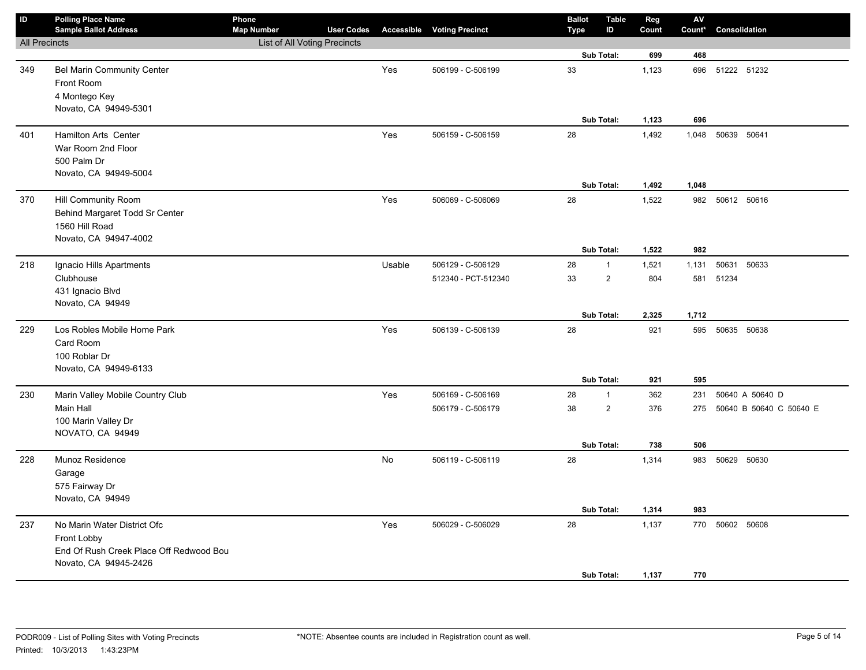| $\sf ID$             | <b>Polling Place Name</b><br><b>Sample Ballot Address</b>                                                      | Phone<br><b>Map Number</b>   | <b>User Codes</b> |        | <b>Accessible Voting Precinct</b> | <b>Ballot</b><br><b>Type</b> | <b>Table</b><br>ID                    | Reg<br>Count   | ${\sf AV}$<br>Count* | Consolidation           |
|----------------------|----------------------------------------------------------------------------------------------------------------|------------------------------|-------------------|--------|-----------------------------------|------------------------------|---------------------------------------|----------------|----------------------|-------------------------|
| <b>All Precincts</b> |                                                                                                                | List of All Voting Precincts |                   |        |                                   |                              |                                       |                |                      |                         |
|                      |                                                                                                                |                              |                   |        |                                   |                              | Sub Total:                            | 699            | 468                  |                         |
| 349                  | <b>Bel Marin Community Center</b><br>Front Room<br>4 Montego Key<br>Novato, CA 94949-5301                      |                              |                   | Yes    | 506199 - C-506199                 | 33                           |                                       | 1,123          | 696                  | 51222 51232             |
|                      |                                                                                                                |                              |                   |        |                                   |                              | Sub Total:                            | 1,123          | 696                  |                         |
| 401                  | <b>Hamilton Arts Center</b><br>War Room 2nd Floor<br>500 Palm Dr<br>Novato, CA 94949-5004                      |                              |                   | Yes    | 506159 - C-506159                 | 28                           | Sub Total:                            | 1,492<br>1,492 | 1,048<br>1,048       | 50639 50641             |
| 370                  | Hill Community Room                                                                                            |                              |                   | Yes    | 506069 - C-506069                 | 28                           |                                       | 1,522          |                      | 982 50612 50616         |
|                      | Behind Margaret Todd Sr Center<br>1560 Hill Road<br>Novato, CA 94947-4002                                      |                              |                   |        |                                   |                              | Sub Total:                            | 1,522          | 982                  |                         |
| 218                  | Ignacio Hills Apartments                                                                                       |                              |                   | Usable | 506129 - C-506129                 | 28                           | $\mathbf{1}$                          | 1,521          | 1,131                | 50631 50633             |
|                      | Clubhouse<br>431 Ignacio Blvd<br>Novato, CA 94949                                                              |                              |                   |        | 512340 - PCT-512340               | 33                           | $\overline{2}$                        | 804            | 581                  | 51234                   |
|                      |                                                                                                                |                              |                   |        |                                   |                              | Sub Total:                            | 2,325          | 1,712                |                         |
| 229                  | Los Robles Mobile Home Park<br>Card Room<br>100 Roblar Dr<br>Novato, CA 94949-6133                             |                              |                   | Yes    | 506139 - C-506139                 | 28                           | Sub Total:                            | 921<br>921     | 595                  | 595 50635 50638         |
|                      |                                                                                                                |                              |                   | Yes    | 506169 - C-506169                 | 28                           | $\mathbf{1}$                          | 362            | 231                  | 50640 A 50640 D         |
| 230                  | Marin Valley Mobile Country Club<br>Main Hall<br>100 Marin Valley Dr<br>NOVATO, CA 94949                       |                              |                   |        | 506179 - C-506179                 | 38                           | $\overline{\mathbf{c}}$<br>Sub Total: | 376<br>738     | 275<br>506           | 50640 B 50640 C 50640 E |
| 228                  | Munoz Residence<br>Garage<br>575 Fairway Dr<br>Novato, CA 94949                                                |                              |                   | No     | 506119 - C-506119                 | 28                           | Sub Total:                            | 1,314<br>1,314 | 983<br>983           | 50629 50630             |
| 237                  | No Marin Water District Ofc<br>Front Lobby<br>End Of Rush Creek Place Off Redwood Bou<br>Novato, CA 94945-2426 |                              |                   | Yes    | 506029 - C-506029                 | 28                           | Sub Total:                            | 1,137<br>1,137 | 770<br>770           | 50602 50608             |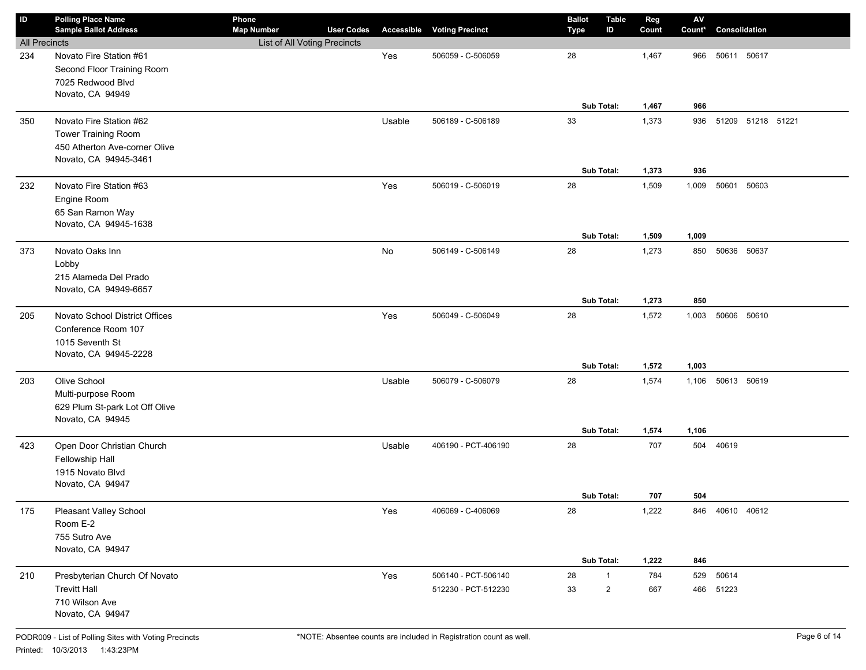| $\sf ID$             | <b>Polling Place Name</b><br><b>Sample Ballot Address</b>                                                       | Phone<br><b>Map Number</b>   | <b>User Codes</b> | Accessible | <b>Voting Precinct</b>                     | <b>Ballot</b><br><b>Type</b> | <b>Table</b><br>ID                      | Reg<br>Count   | $\mathsf{AV}$<br>Count* | Consolidation          |       |  |
|----------------------|-----------------------------------------------------------------------------------------------------------------|------------------------------|-------------------|------------|--------------------------------------------|------------------------------|-----------------------------------------|----------------|-------------------------|------------------------|-------|--|
| <b>All Precincts</b> |                                                                                                                 | List of All Voting Precincts |                   |            |                                            |                              |                                         |                |                         |                        |       |  |
| 234                  | Novato Fire Station #61<br>Second Floor Training Room<br>7025 Redwood Blvd<br>Novato, CA 94949                  |                              |                   | Yes        | 506059 - C-506059                          | 28                           | Sub Total:                              | 1,467          | 966<br>966              | 50611                  | 50617 |  |
|                      |                                                                                                                 |                              |                   |            |                                            |                              |                                         | 1,467          |                         |                        |       |  |
| 350                  | Novato Fire Station #62<br><b>Tower Training Room</b><br>450 Atherton Ave-corner Olive<br>Novato, CA 94945-3461 |                              |                   | Usable     | 506189 - C-506189                          | 33                           | Sub Total:                              | 1,373<br>1,373 | 936<br>936              | 51209 51218 51221      |       |  |
| 232                  | Novato Fire Station #63<br>Engine Room<br>65 San Ramon Way<br>Novato, CA 94945-1638                             |                              |                   | Yes        | 506019 - C-506019                          | 28                           |                                         | 1,509          | 1,009                   | 50601                  | 50603 |  |
|                      |                                                                                                                 |                              |                   |            |                                            |                              | Sub Total:                              | 1,509          | 1,009                   |                        |       |  |
| 373                  | Novato Oaks Inn<br>Lobby<br>215 Alameda Del Prado<br>Novato, CA 94949-6657                                      |                              |                   | No         | 506149 - C-506149                          | 28                           | Sub Total:                              | 1,273<br>1,273 | 850<br>850              | 50636 50637            |       |  |
| 205                  | Novato School District Offices<br>Conference Room 107<br>1015 Seventh St<br>Novato, CA 94945-2228               |                              |                   | Yes        | 506049 - C-506049                          | 28                           | Sub Total:                              | 1,572<br>1,572 | 1,003<br>1,003          | 50606 50610            |       |  |
| 203                  | Olive School<br>Multi-purpose Room<br>629 Plum St-park Lot Off Olive<br>Novato, CA 94945                        |                              |                   | Usable     | 506079 - C-506079                          | 28                           | Sub Total:                              | 1,574<br>1,574 | 1,106<br>1,106          | 50613 50619            |       |  |
| 423                  | Open Door Christian Church<br>Fellowship Hall<br>1915 Novato Blvd<br>Novato, CA 94947                           |                              |                   | Usable     | 406190 - PCT-406190                        | 28                           | Sub Total:                              | 707<br>707     | 504<br>504              | 40619                  |       |  |
| 175                  | Pleasant Valley School<br>Room E-2<br>755 Sutro Ave<br>Novato, CA 94947                                         |                              |                   | Yes        | 406069 - C-406069                          | 28                           | Sub Total:                              | 1,222<br>1,222 | 846                     | 846 40610 40612        |       |  |
| 210                  | Presbyterian Church Of Novato<br><b>Trevitt Hall</b><br>710 Wilson Ave<br>Novato, CA 94947                      |                              |                   | Yes        | 506140 - PCT-506140<br>512230 - PCT-512230 | 28<br>33                     | $\mathbf{1}$<br>$\overline{\mathbf{c}}$ | 784<br>667     |                         | 529 50614<br>466 51223 |       |  |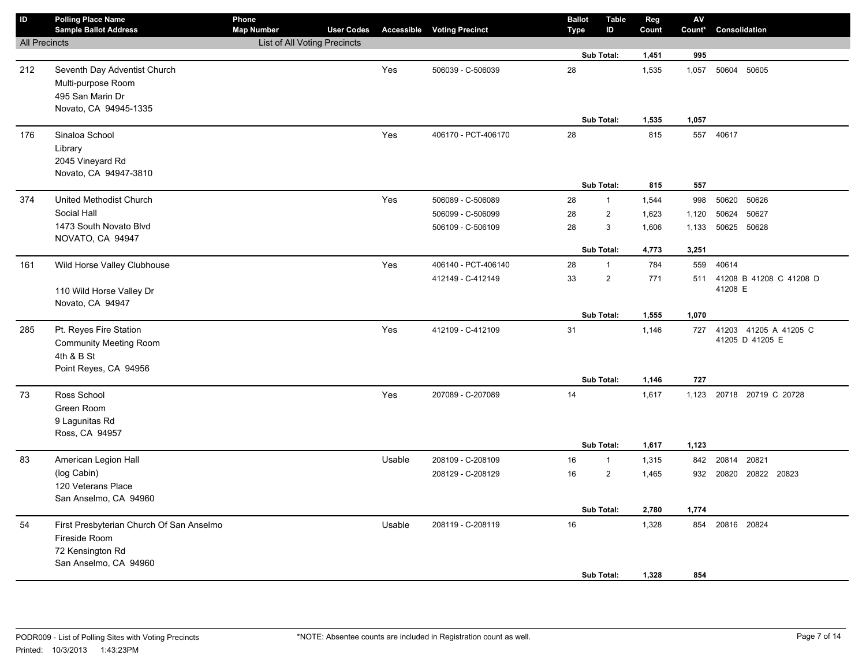| ID                   | <b>Polling Place Name</b><br><b>Sample Ballot Address</b>                                              | Phone<br><b>Map Number</b>          | <b>User Codes</b> |        | <b>Accessible Voting Precinct</b> | <b>Ballot</b><br><b>Type</b> | <b>Table</b><br>ID | Reg<br>Count   | $\mathsf{AV}$<br>Count* | Consolidation                            |
|----------------------|--------------------------------------------------------------------------------------------------------|-------------------------------------|-------------------|--------|-----------------------------------|------------------------------|--------------------|----------------|-------------------------|------------------------------------------|
| <b>All Precincts</b> |                                                                                                        | <b>List of All Voting Precincts</b> |                   |        |                                   |                              |                    |                |                         |                                          |
|                      |                                                                                                        |                                     |                   |        |                                   |                              | Sub Total:         | 1,451          | 995                     |                                          |
| 212                  | Seventh Day Adventist Church<br>Multi-purpose Room<br>495 San Marin Dr<br>Novato, CA 94945-1335        |                                     |                   | Yes    | 506039 - C-506039                 | 28                           |                    | 1,535          | 1,057                   | 50604<br>50605                           |
|                      |                                                                                                        |                                     |                   |        |                                   |                              | Sub Total:         | 1,535          | 1,057                   |                                          |
| 176                  | Sinaloa School<br>Library<br>2045 Vineyard Rd<br>Novato, CA 94947-3810                                 |                                     |                   | Yes    | 406170 - PCT-406170               | 28                           | Sub Total:         | 815<br>815     | 557                     | 557 40617                                |
| 374                  | United Methodist Church                                                                                |                                     |                   | Yes    | 506089 - C-506089                 | 28                           | $\mathbf{1}$       | 1,544          | 998                     | 50620<br>50626                           |
|                      | Social Hall                                                                                            |                                     |                   |        | 506099 - C-506099                 | 28                           | $\mathbf 2$        | 1,623          | 1,120                   | 50624<br>50627                           |
|                      | 1473 South Novato Blvd                                                                                 |                                     |                   |        | 506109 - C-506109                 | 28                           | 3                  | 1,606          | 1,133                   | 50625<br>50628                           |
|                      | NOVATO, CA 94947                                                                                       |                                     |                   |        |                                   |                              | Sub Total:         | 4,773          | 3,251                   |                                          |
| 161                  | Wild Horse Valley Clubhouse                                                                            |                                     |                   | Yes    | 406140 - PCT-406140               | 28                           | $\mathbf{1}$       | 784            | 559                     | 40614                                    |
|                      |                                                                                                        |                                     |                   |        | 412149 - C-412149                 | 33                           | $\overline{2}$     | 771            | 511                     | 41208 B 41208 C 41208 D                  |
|                      | 110 Wild Horse Valley Dr<br>Novato, CA 94947                                                           |                                     |                   |        |                                   |                              |                    |                |                         | 41208 E                                  |
|                      |                                                                                                        |                                     |                   |        |                                   |                              | Sub Total:         | 1,555          | 1,070                   |                                          |
| 285                  | Pt. Reyes Fire Station<br><b>Community Meeting Room</b><br>4th & B St<br>Point Reyes, CA 94956         |                                     |                   | Yes    | 412109 - C-412109                 | 31                           |                    | 1,146          | 727                     | 41203 41205 A 41205 C<br>41205 D 41205 E |
|                      |                                                                                                        |                                     |                   |        |                                   |                              | Sub Total:         | 1,146          | 727                     |                                          |
| 73                   | Ross School<br>Green Room<br>9 Lagunitas Rd<br>Ross, CA 94957                                          |                                     |                   | Yes    | 207089 - C-207089                 | 14                           | Sub Total:         | 1,617<br>1,617 | 1,123<br>1,123          | 20718 20719 C 20728                      |
| 83                   | American Legion Hall                                                                                   |                                     |                   | Usable | 208109 - C-208109                 | 16                           | $\mathbf{1}$       | 1,315          | 842                     | 20814 20821                              |
|                      | (log Cabin)<br>120 Veterans Place<br>San Anselmo, CA 94960                                             |                                     |                   |        | 208129 - C-208129                 | 16                           | $\overline{2}$     | 1,465          | 932                     | 20820 20822 20823                        |
|                      |                                                                                                        |                                     |                   |        |                                   |                              | Sub Total:         | 2,780          | 1,774                   |                                          |
| 54                   | First Presbyterian Church Of San Anselmo<br>Fireside Room<br>72 Kensington Rd<br>San Anselmo, CA 94960 |                                     |                   | Usable | 208119 - C-208119                 | 16                           | Sub Total:         | 1,328<br>1,328 | 854<br>854              | 20816 20824                              |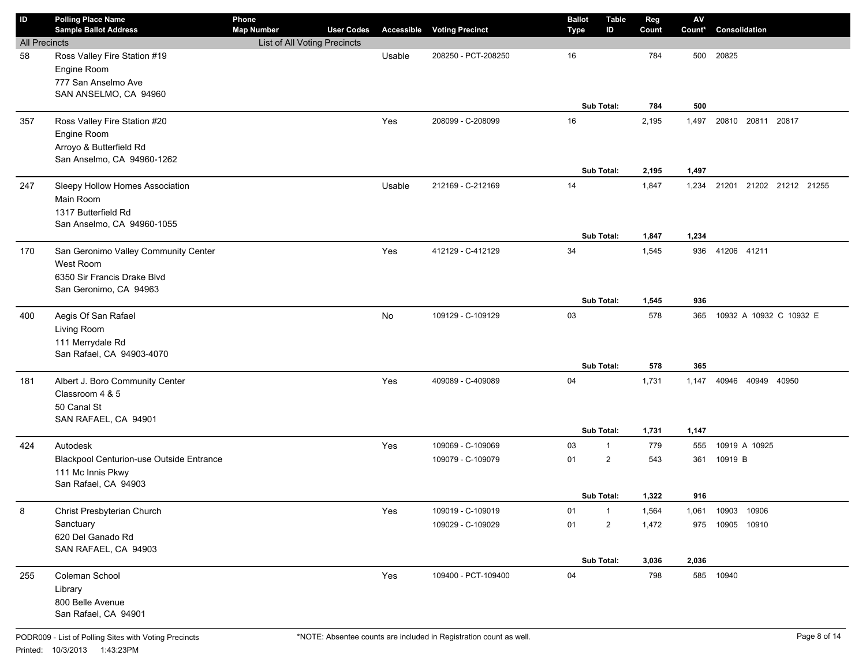| ID                   | <b>Polling Place Name</b><br><b>Sample Ballot Address</b> | Phone<br><b>Map Number</b>   | <b>User Codes</b> | Accessible | <b>Voting Precinct</b> | <b>Ballot</b><br>Type | Table<br>ID    | Reg<br>Count | $\mathsf{AV}$<br>Count* | Consolidation           |
|----------------------|-----------------------------------------------------------|------------------------------|-------------------|------------|------------------------|-----------------------|----------------|--------------|-------------------------|-------------------------|
| <b>All Precincts</b> |                                                           | List of All Voting Precincts |                   |            |                        |                       |                |              |                         |                         |
| 58                   | Ross Valley Fire Station #19                              |                              |                   | Usable     | 208250 - PCT-208250    | 16                    |                | 784          | 500                     | 20825                   |
|                      | Engine Room                                               |                              |                   |            |                        |                       |                |              |                         |                         |
|                      | 777 San Anselmo Ave                                       |                              |                   |            |                        |                       |                |              |                         |                         |
|                      | SAN ANSELMO, CA 94960                                     |                              |                   |            |                        |                       |                |              |                         |                         |
|                      |                                                           |                              |                   |            |                        |                       | Sub Total:     | 784          | 500                     |                         |
| 357                  | Ross Valley Fire Station #20                              |                              |                   | Yes        | 208099 - C-208099      | 16                    |                | 2,195        | 1,497                   | 20810 20811 20817       |
|                      | Engine Room                                               |                              |                   |            |                        |                       |                |              |                         |                         |
|                      | Arroyo & Butterfield Rd                                   |                              |                   |            |                        |                       |                |              |                         |                         |
|                      | San Anselmo, CA 94960-1262                                |                              |                   |            |                        |                       |                |              |                         |                         |
|                      |                                                           |                              |                   |            |                        |                       | Sub Total:     | 2,195        | 1,497                   |                         |
| 247                  | Sleepy Hollow Homes Association                           |                              |                   | Usable     | 212169 - C-212169      | 14                    |                | 1,847        | 1,234                   | 21201 21202 21212 21255 |
|                      | Main Room                                                 |                              |                   |            |                        |                       |                |              |                         |                         |
|                      | 1317 Butterfield Rd                                       |                              |                   |            |                        |                       |                |              |                         |                         |
|                      | San Anselmo, CA 94960-1055                                |                              |                   |            |                        |                       | Sub Total:     | 1,847        | 1,234                   |                         |
| 170                  | San Geronimo Valley Community Center                      |                              |                   | Yes        | 412129 - C-412129      | 34                    |                | 1,545        | 936                     | 41206 41211             |
|                      | West Room                                                 |                              |                   |            |                        |                       |                |              |                         |                         |
|                      | 6350 Sir Francis Drake Blvd                               |                              |                   |            |                        |                       |                |              |                         |                         |
|                      | San Geronimo, CA 94963                                    |                              |                   |            |                        |                       |                |              |                         |                         |
|                      |                                                           |                              |                   |            |                        |                       | Sub Total:     | 1,545        | 936                     |                         |
| 400                  | Aegis Of San Rafael                                       |                              |                   | No         | 109129 - C-109129      | 03                    |                | 578          | 365                     | 10932 A 10932 C 10932 E |
|                      | Living Room                                               |                              |                   |            |                        |                       |                |              |                         |                         |
|                      | 111 Merrydale Rd                                          |                              |                   |            |                        |                       |                |              |                         |                         |
|                      | San Rafael, CA 94903-4070                                 |                              |                   |            |                        |                       |                |              |                         |                         |
|                      |                                                           |                              |                   |            |                        |                       | Sub Total:     | 578          | 365                     |                         |
| 181                  | Albert J. Boro Community Center                           |                              |                   | Yes        | 409089 - C-409089      | 04                    |                | 1,731        | 1,147                   | 40946 40949 40950       |
|                      | Classroom 4 & 5                                           |                              |                   |            |                        |                       |                |              |                         |                         |
|                      | 50 Canal St<br>SAN RAFAEL, CA 94901                       |                              |                   |            |                        |                       |                |              |                         |                         |
|                      |                                                           |                              |                   |            |                        |                       | Sub Total:     | 1,731        | 1,147                   |                         |
| 424                  | Autodesk                                                  |                              |                   | Yes        | 109069 - C-109069      | 03                    | 1              | 779          | 555                     | 10919 A 10925           |
|                      | <b>Blackpool Centurion-use Outside Entrance</b>           |                              |                   |            | 109079 - C-109079      | 01                    | $\overline{2}$ | 543          | 361                     | 10919 B                 |
|                      | 111 Mc Innis Pkwy                                         |                              |                   |            |                        |                       |                |              |                         |                         |
|                      | San Rafael, CA 94903                                      |                              |                   |            |                        |                       |                |              |                         |                         |
|                      |                                                           |                              |                   |            |                        |                       | Sub Total:     | 1,322        | 916                     |                         |
| $\bf 8$              | Christ Presbyterian Church                                |                              |                   | Yes        | 109019 - C-109019      | 01                    | $\mathbf{1}$   | 1,564        | 1,061                   | 10903<br>10906          |
|                      | Sanctuary                                                 |                              |                   |            | 109029 - C-109029      | 01                    | $\overline{2}$ | 1,472        |                         | 975 10905 10910         |
|                      | 620 Del Ganado Rd                                         |                              |                   |            |                        |                       |                |              |                         |                         |
|                      | SAN RAFAEL, CA 94903                                      |                              |                   |            |                        |                       | Sub Total:     | 3,036        | 2,036                   |                         |
| 255                  | Coleman School                                            |                              |                   | Yes        | 109400 - PCT-109400    | 04                    |                | 798          |                         | 585 10940               |
|                      | Library                                                   |                              |                   |            |                        |                       |                |              |                         |                         |
|                      | 800 Belle Avenue                                          |                              |                   |            |                        |                       |                |              |                         |                         |
|                      | San Rafael, CA 94901                                      |                              |                   |            |                        |                       |                |              |                         |                         |
|                      |                                                           |                              |                   |            |                        |                       |                |              |                         |                         |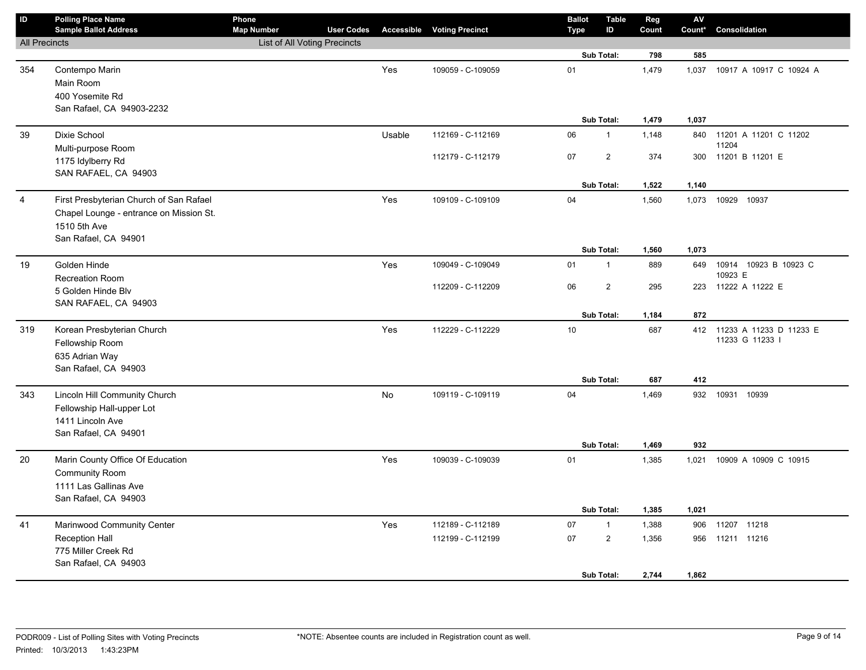| $\mathsf{ID}$        | <b>Polling Place Name</b><br><b>Sample Ballot Address</b>                                                                  | Phone<br><b>Map Number</b>          | <b>User Codes</b> |        | <b>Accessible Voting Precinct</b> | <b>Ballot</b><br><b>Type</b> | <b>Table</b><br>ID | Reg<br>Count   | AV<br>Count* | Consolidation                                  |
|----------------------|----------------------------------------------------------------------------------------------------------------------------|-------------------------------------|-------------------|--------|-----------------------------------|------------------------------|--------------------|----------------|--------------|------------------------------------------------|
| <b>All Precincts</b> |                                                                                                                            | <b>List of All Voting Precincts</b> |                   |        |                                   |                              |                    |                |              |                                                |
|                      |                                                                                                                            |                                     |                   |        |                                   |                              | Sub Total:         | 798            | 585          |                                                |
| 354                  | Contempo Marin<br>Main Room<br>400 Yosemite Rd<br>San Rafael, CA 94903-2232                                                |                                     |                   | Yes    | 109059 - C-109059                 | 01                           |                    | 1,479          | 1,037        | 10917 A 10917 C 10924 A                        |
|                      |                                                                                                                            |                                     |                   |        |                                   |                              | Sub Total:         | 1,479          | 1,037        |                                                |
| 39                   | Dixie School<br>Multi-purpose Room                                                                                         |                                     |                   | Usable | 112169 - C-112169                 | 06                           | $\mathbf{1}$       | 1,148          |              | 840 11201 A 11201 C 11202<br>11204             |
|                      | 1175 Idylberry Rd<br>SAN RAFAEL, CA 94903                                                                                  |                                     |                   |        | 112179 - C-112179                 | 07                           | $\overline{2}$     | 374            |              | 300 11201 B 11201 E                            |
|                      |                                                                                                                            |                                     |                   |        |                                   |                              | Sub Total:         | 1,522          | 1,140        |                                                |
| $\overline{4}$       | First Presbyterian Church of San Rafael<br>Chapel Lounge - entrance on Mission St.<br>1510 5th Ave<br>San Rafael, CA 94901 |                                     |                   | Yes    | 109109 - C-109109                 | 04                           |                    | 1,560          |              | 1,073 10929 10937                              |
|                      |                                                                                                                            |                                     |                   |        |                                   |                              | Sub Total:         | 1,560          | 1,073        |                                                |
| 19                   | Golden Hinde<br><b>Recreation Room</b>                                                                                     |                                     |                   | Yes    | 109049 - C-109049                 | 01                           | $\mathbf{1}$       | 889            |              | 649 10914 10923 B 10923 C<br>10923 E           |
|                      | 5 Golden Hinde Blv<br>SAN RAFAEL, CA 94903                                                                                 |                                     |                   |        | 112209 - C-112209                 | 06                           | $\overline{2}$     | 295            | 223          | 11222 A 11222 E                                |
|                      |                                                                                                                            |                                     |                   |        |                                   |                              | Sub Total:         | 1,184          | 872          |                                                |
| 319                  | Korean Presbyterian Church<br>Fellowship Room<br>635 Adrian Way<br>San Rafael, CA 94903                                    |                                     |                   | Yes    | 112229 - C-112229                 | $10\,$                       |                    | 687            |              | 412 11233 A 11233 D 11233 E<br>11233 G 11233 I |
|                      |                                                                                                                            |                                     |                   |        |                                   |                              | Sub Total:         | 687            | 412          |                                                |
| 343                  | Lincoln Hill Community Church<br>Fellowship Hall-upper Lot<br>1411 Lincoln Ave<br>San Rafael, CA 94901                     |                                     |                   | No     | 109119 - C-109119                 | 04                           | Sub Total:         | 1,469<br>1,469 | 932          | 932 10931 10939                                |
|                      |                                                                                                                            |                                     |                   |        |                                   | 01                           |                    |                |              |                                                |
| 20                   | Marin County Office Of Education<br><b>Community Room</b><br>1111 Las Gallinas Ave<br>San Rafael, CA 94903                 |                                     |                   | Yes    | 109039 - C-109039                 |                              |                    | 1,385          |              | 1,021 10909 A 10909 C 10915                    |
|                      |                                                                                                                            |                                     |                   |        |                                   |                              | Sub Total:         | 1,385          | 1,021        |                                                |
| 41                   | Marinwood Community Center                                                                                                 |                                     |                   | Yes    | 112189 - C-112189                 | 07                           | $\mathbf{1}$       | 1,388          | 906          | 11207 11218                                    |
|                      | <b>Reception Hall</b><br>775 Miller Creek Rd<br>San Rafael, CA 94903                                                       |                                     |                   |        | 112199 - C-112199                 | 07                           | $\overline{2}$     | 1,356          |              | 956 11211 11216                                |
|                      |                                                                                                                            |                                     |                   |        |                                   |                              | Sub Total:         | 2,744          | 1,862        |                                                |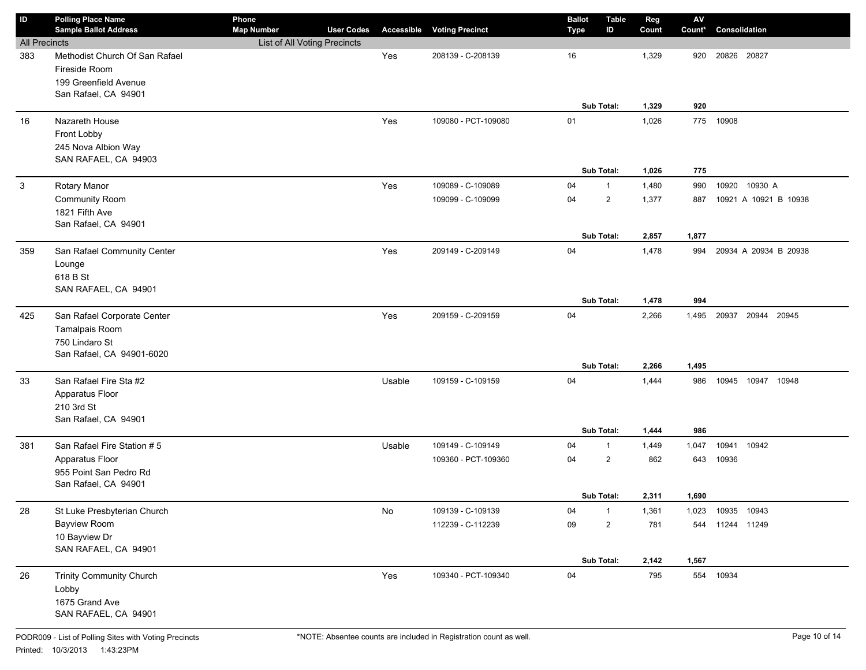| ID                   | <b>Polling Place Name</b><br><b>Sample Ballot Address</b>                                        | Phone<br><b>Map Number</b>   | <b>User Codes</b> | Accessible | <b>Voting Precinct</b>                   | <b>Ballot</b><br><b>Type</b> | Table<br>ID                    | Reg<br>Count   | $\mathsf{AV}$<br>Count* | Consolidation           |
|----------------------|--------------------------------------------------------------------------------------------------|------------------------------|-------------------|------------|------------------------------------------|------------------------------|--------------------------------|----------------|-------------------------|-------------------------|
| <b>All Precincts</b> |                                                                                                  | List of All Voting Precincts |                   |            |                                          |                              |                                |                |                         |                         |
| 383                  | Methodist Church Of San Rafael<br>Fireside Room<br>199 Greenfield Avenue<br>San Rafael, CA 94901 |                              |                   | Yes        | 208139 - C-208139                        | 16                           | Sub Total:                     | 1,329<br>1,329 | 920<br>920              | 20826 20827             |
| 16                   | Nazareth House                                                                                   |                              |                   | Yes        | 109080 - PCT-109080                      | 01                           |                                | 1,026          | 775                     | 10908                   |
|                      | Front Lobby<br>245 Nova Albion Way<br>SAN RAFAEL, CA 94903                                       |                              |                   |            |                                          |                              | Sub Total:                     | 1,026          | 775                     |                         |
| 3                    | Rotary Manor                                                                                     |                              |                   | Yes        | 109089 - C-109089                        | 04                           | $\mathbf{1}$                   | 1,480          | 990                     | 10930 A<br>10920        |
|                      | Community Room<br>1821 Fifth Ave<br>San Rafael, CA 94901                                         |                              |                   |            | 109099 - C-109099                        | 04                           | $\overline{2}$                 | 1,377          | 887                     | 10921 A 10921 B 10938   |
|                      |                                                                                                  |                              |                   |            |                                          |                              | Sub Total:                     | 2,857          | 1,877                   |                         |
| 359                  | San Rafael Community Center<br>Lounge<br>618 B St<br>SAN RAFAEL, CA 94901                        |                              |                   | Yes        | 209149 - C-209149                        | 04                           | <b>Sub Total:</b>              | 1,478<br>1,478 | 994<br>994              | 20934 A 20934 B 20938   |
| 425                  | San Rafael Corporate Center<br>Tamalpais Room<br>750 Lindaro St<br>San Rafael, CA 94901-6020     |                              |                   | Yes        | 209159 - C-209159                        | 04                           |                                | 2,266          | 1,495                   | 20937<br>20944 20945    |
|                      |                                                                                                  |                              |                   |            |                                          |                              | Sub Total:                     | 2,266          | 1,495                   |                         |
| 33                   | San Rafael Fire Sta #2<br>Apparatus Floor<br>210 3rd St<br>San Rafael, CA 94901                  |                              |                   | Usable     | 109159 - C-109159                        | 04                           |                                | 1,444          | 986<br>986              | 10945 10947 10948       |
|                      |                                                                                                  |                              |                   |            |                                          |                              | Sub Total:                     | 1,444          |                         |                         |
| 381                  | San Rafael Fire Station # 5<br>Apparatus Floor<br>955 Point San Pedro Rd<br>San Rafael, CA 94901 |                              |                   | Usable     | 109149 - C-109149<br>109360 - PCT-109360 | 04<br>04                     | $\mathbf{1}$<br>$\overline{c}$ | 1,449<br>862   | 1,047<br>643            | 10941<br>10942<br>10936 |
|                      |                                                                                                  |                              |                   |            |                                          |                              | Sub Total:                     | 2,311          | 1,690                   |                         |
| 28                   | St Luke Presbyterian Church                                                                      |                              |                   | No         | 109139 - C-109139                        | 04                           | $\mathbf{1}$                   | 1,361          | 1,023                   | 10935 10943             |
|                      | Bayview Room<br>10 Bayview Dr<br>SAN RAFAEL, CA 94901                                            |                              |                   |            | 112239 - C-112239                        | 09                           | $\overline{2}$                 | 781            | 544                     | 11244 11249             |
|                      |                                                                                                  |                              |                   |            |                                          |                              | Sub Total:                     | 2,142          | 1,567                   |                         |
| 26                   | <b>Trinity Community Church</b><br>Lobby<br>1675 Grand Ave<br>SAN RAFAEL, CA 94901               |                              |                   | Yes        | 109340 - PCT-109340                      | 04                           |                                | 795            |                         | 554 10934               |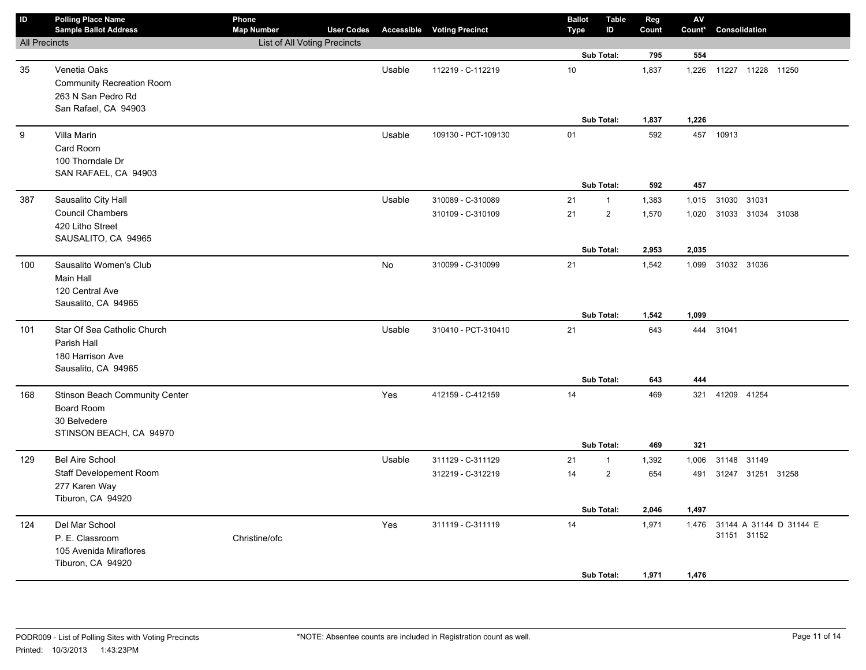| ID                   | <b>Polling Place Name</b><br><b>Sample Ballot Address</b>                                      | Phone<br><b>Map Number</b>   | <b>User Codes</b> |           | <b>Accessible Voting Precinct</b>      | <b>Ballot</b><br>Type | Table<br>ID                  | Reg<br>Count   | ${\sf AV}$<br>Count* | Consolidation                    |                         |
|----------------------|------------------------------------------------------------------------------------------------|------------------------------|-------------------|-----------|----------------------------------------|-----------------------|------------------------------|----------------|----------------------|----------------------------------|-------------------------|
| <b>All Precincts</b> |                                                                                                | List of All Voting Precincts |                   |           |                                        |                       |                              |                |                      |                                  |                         |
|                      |                                                                                                |                              |                   |           |                                        |                       | Sub Total:                   | 795            | 554                  |                                  |                         |
| 35                   | Venetia Oaks<br><b>Community Recreation Room</b><br>263 N San Pedro Rd<br>San Rafael, CA 94903 |                              |                   | Usable    | 112219 - C-112219                      | 10                    |                              | 1,837          | 1,226                | 11227 11228 11250                |                         |
|                      |                                                                                                |                              |                   |           |                                        |                       | Sub Total:                   | 1,837          | 1,226                |                                  |                         |
| 9                    | Villa Marin<br>Card Room<br>100 Thorndale Dr<br>SAN RAFAEL, CA 94903                           |                              |                   | Usable    | 109130 - PCT-109130                    | 01                    |                              | 592            | 457                  | 457 10913                        |                         |
|                      |                                                                                                |                              |                   |           |                                        |                       | Sub Total:                   | 592            |                      |                                  |                         |
| 387                  | Sausalito City Hall<br><b>Council Chambers</b><br>420 Litho Street<br>SAUSALITO, CA 94965      |                              |                   | Usable    | 310089 - C-310089<br>310109 - C-310109 | 21<br>21              | $\mathbf{1}$<br>$\mathbf 2$  | 1,383<br>1,570 | 1,015<br>1,020       | 31030 31031<br>31033 31034 31038 |                         |
|                      |                                                                                                |                              |                   |           |                                        |                       | Sub Total:                   | 2,953          | 2,035                |                                  |                         |
| 100                  | Sausalito Women's Club<br><b>Main Hall</b><br>120 Central Ave<br>Sausalito, CA 94965           |                              |                   | <b>No</b> | 310099 - C-310099                      | 21                    | Sub Total:                   | 1,542<br>1,542 | 1,099<br>1,099       | 31032 31036                      |                         |
| 101                  | Star Of Sea Catholic Church<br>Parish Hall<br>180 Harrison Ave<br>Sausalito, CA 94965          |                              |                   | Usable    | 310410 - PCT-310410                    | 21                    |                              | 643            |                      | 444 31041                        |                         |
|                      |                                                                                                |                              |                   |           |                                        |                       | Sub Total:                   | 643            | 444                  |                                  |                         |
| 168                  | Stinson Beach Community Center<br>Board Room<br>30 Belvedere<br>STINSON BEACH, CA 94970        |                              |                   | Yes       | 412159 - C-412159                      | 14                    | Sub Total:                   | 469<br>469     | 321<br>321           | 41209 41254                      |                         |
| 129                  | <b>Bel Aire School</b>                                                                         |                              |                   | Usable    | 311129 - C-311129                      | 21                    | $\mathbf{1}$                 | 1,392          | 1,006                | 31148 31149                      |                         |
|                      | Staff Developement Room<br>277 Karen Way<br>Tiburon, CA 94920                                  |                              |                   |           | 312219 - C-312219                      | 14                    | $\overline{2}$<br>Sub Total: | 654<br>2,046   | 491<br>1,497         | 31247 31251 31258                |                         |
| 124                  | Del Mar School<br>P. E. Classroom<br>105 Avenida Miraflores<br>Tiburon, CA 94920               | Christine/ofc                |                   | Yes       | 311119 - C-311119                      | 14                    | Sub Total:                   | 1,971<br>1,971 | 1,476<br>1,476       | 31151 31152                      | 31144 A 31144 D 31144 E |
|                      |                                                                                                |                              |                   |           |                                        |                       |                              |                |                      |                                  |                         |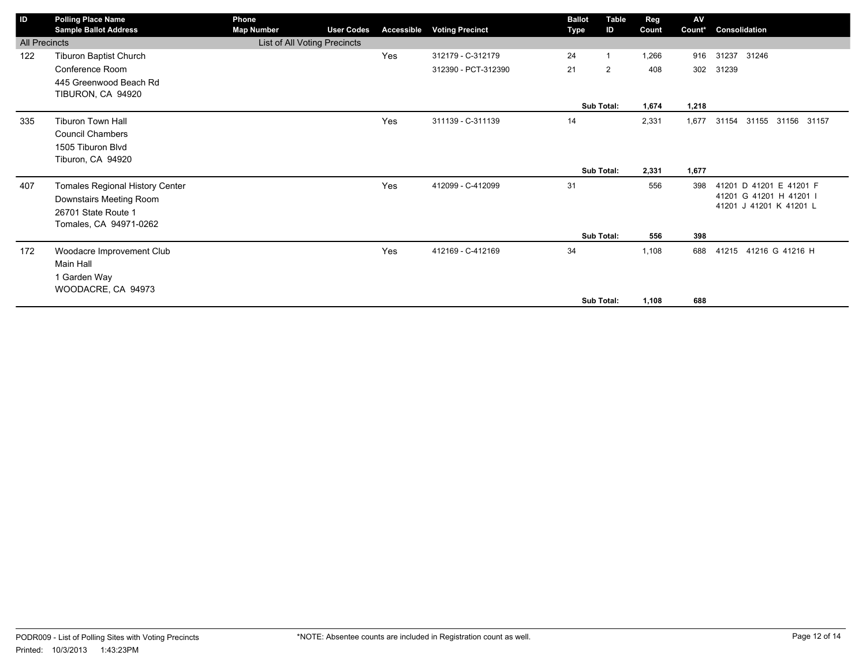| ID                   | <b>Polling Place Name</b><br><b>Sample Ballot Address</b> | Phone<br><b>Map Number</b>   | <b>User Codes</b> | Accessible | <b>Voting Precinct</b> | <b>Ballot</b><br>Type | Table<br>ID | Reg<br>Count | AV<br>Count* | Consolidation                                      |
|----------------------|-----------------------------------------------------------|------------------------------|-------------------|------------|------------------------|-----------------------|-------------|--------------|--------------|----------------------------------------------------|
| <b>All Precincts</b> |                                                           | List of All Voting Precincts |                   |            |                        |                       |             |              |              |                                                    |
| 122                  | Tiburon Baptist Church                                    |                              |                   | Yes        | 312179 - C-312179      | 24                    |             | 1,266        | 916          | 31237 31246                                        |
|                      | Conference Room                                           |                              |                   |            | 312390 - PCT-312390    | 21                    | 2           | 408          | 302          | 31239                                              |
|                      | 445 Greenwood Beach Rd                                    |                              |                   |            |                        |                       |             |              |              |                                                    |
|                      | TIBURON, CA 94920                                         |                              |                   |            |                        |                       |             |              |              |                                                    |
|                      |                                                           |                              |                   |            |                        |                       | Sub Total:  | 1,674        | 1,218        |                                                    |
| 335                  | <b>Tiburon Town Hall</b>                                  |                              |                   | Yes        | 311139 - C-311139      | 14                    |             | 2,331        | 1,677        | 31154 31155 31156 31157                            |
|                      | <b>Council Chambers</b>                                   |                              |                   |            |                        |                       |             |              |              |                                                    |
|                      | 1505 Tiburon Blvd                                         |                              |                   |            |                        |                       |             |              |              |                                                    |
|                      | Tiburon, CA 94920                                         |                              |                   |            |                        |                       |             |              |              |                                                    |
|                      |                                                           |                              |                   |            |                        |                       | Sub Total:  | 2,331        | 1,677        |                                                    |
| 407                  | Tomales Regional History Center                           |                              |                   | Yes        | 412099 - C-412099      | 31                    |             | 556          | 398          | 41201 D 41201 E 41201 F                            |
|                      | Downstairs Meeting Room                                   |                              |                   |            |                        |                       |             |              |              | 41201 G 41201 H 41201 I<br>41201 J 41201 K 41201 L |
|                      | 26701 State Route 1                                       |                              |                   |            |                        |                       |             |              |              |                                                    |
|                      | Tomales, CA 94971-0262                                    |                              |                   |            |                        |                       |             |              |              |                                                    |
|                      |                                                           |                              |                   |            |                        |                       | Sub Total:  | 556          | 398          |                                                    |
| 172                  | Woodacre Improvement Club                                 |                              |                   | Yes        | 412169 - C-412169      | 34                    |             | 1,108        | 688          | 41215 41216 G 41216 H                              |
|                      | Main Hall                                                 |                              |                   |            |                        |                       |             |              |              |                                                    |
|                      | 1 Garden Way                                              |                              |                   |            |                        |                       |             |              |              |                                                    |
|                      | WOODACRE, CA 94973                                        |                              |                   |            |                        |                       |             |              |              |                                                    |
|                      |                                                           |                              |                   |            |                        |                       | Sub Total:  | 1,108        | 688          |                                                    |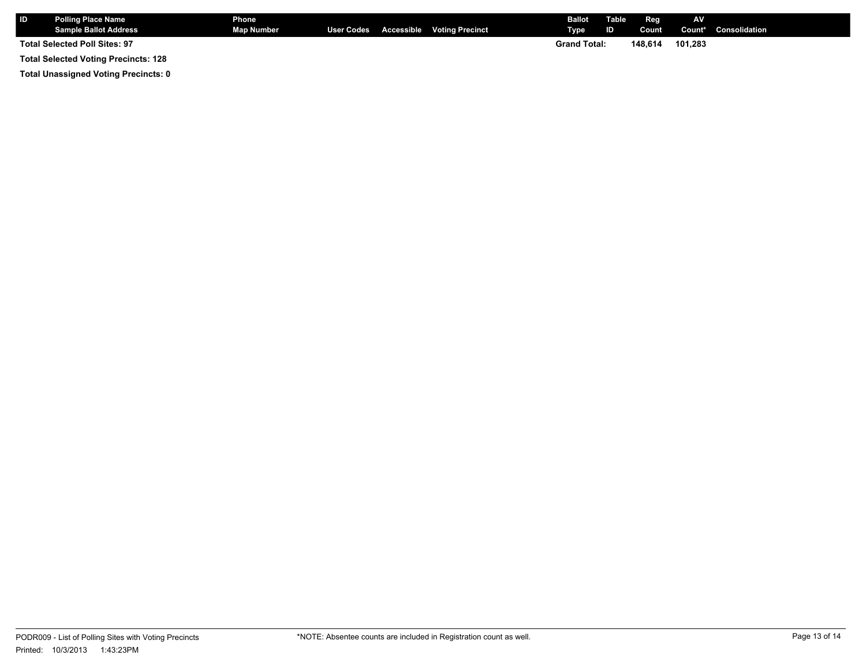| l ID                                        | <b>Polling Place Name</b><br><b>Sample Ballot Address</b> | <b>Phone</b><br><b>Map Number</b> |  |  | User Codes Accessible Voting Precinct | <b>Ballot</b><br>Type | Table<br>ID | Reg<br>Count | <b>AV</b> | <b>Count*</b> Consolidation |
|---------------------------------------------|-----------------------------------------------------------|-----------------------------------|--|--|---------------------------------------|-----------------------|-------------|--------------|-----------|-----------------------------|
| <b>Total Selected Poll Sites: 97</b>        |                                                           |                                   |  |  |                                       | <b>Grand Total:</b>   |             | 148.614      | 101.283   |                             |
| <b>Total Selected Voting Precincts: 128</b> |                                                           |                                   |  |  |                                       |                       |             |              |           |                             |

**Total Unassigned Voting Precincts: 0**